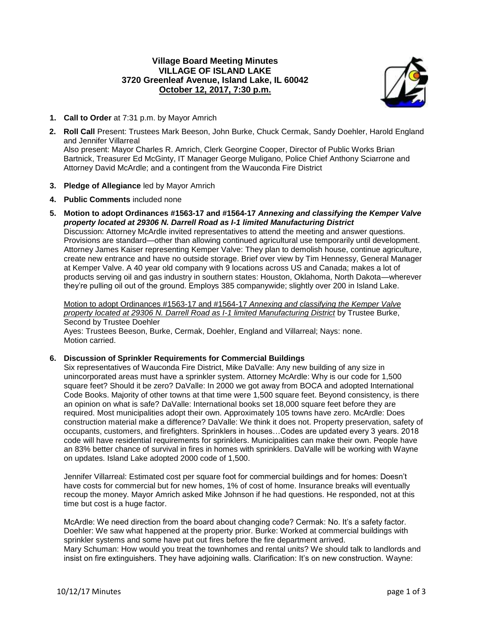# **Village Board Meeting Minutes VILLAGE OF ISLAND LAKE 3720 Greenleaf Avenue, Island Lake, IL 60042 October 12, 2017, 7:30 p.m.**

Attorney David McArdle; and a contingent from the Wauconda Fire District



- **1. Call to Order** at 7:31 p.m. by Mayor Amrich
- **2. Roll Call** Present: Trustees Mark Beeson, John Burke, Chuck Cermak, Sandy Doehler, Harold England and Jennifer Villarreal Also present: Mayor Charles R. Amrich, Clerk Georgine Cooper, Director of Public Works Brian Bartnick, Treasurer Ed McGinty, IT Manager George Muligano, Police Chief Anthony Sciarrone and

**3. Pledge of Allegiance** led by Mayor Amrich

- **4. Public Comments** included none
- **5. Motion to adopt Ordinances #1563-17 and #1564-17** *Annexing and classifying the Kemper Valve property located at 29306 N. Darrell Road as I-1 limited Manufacturing District* Discussion: Attorney McArdle invited representatives to attend the meeting and answer questions. Provisions are standard—other than allowing continued agricultural use temporarily until development. Attorney James Kaiser representing Kemper Valve: They plan to demolish house, continue agriculture, create new entrance and have no outside storage. Brief over view by Tim Hennessy, General Manager at Kemper Valve. A 40 year old company with 9 locations across US and Canada; makes a lot of products serving oil and gas industry in southern states: Houston, Oklahoma, North Dakota—wherever they're pulling oil out of the ground. Employs 385 companywide; slightly over 200 in Island Lake.

Motion to adopt Ordinances #1563-17 and #1564-17 *Annexing and classifying the Kemper Valve property located at 29306 N. Darrell Road as I-1 limited Manufacturing District* by Trustee Burke, Second by Trustee Doehler

Ayes: Trustees Beeson, Burke, Cermak, Doehler, England and Villarreal; Nays: none. Motion carried.

## **6. Discussion of Sprinkler Requirements for Commercial Buildings**

Six representatives of Wauconda Fire District, Mike DaValle: Any new building of any size in unincorporated areas must have a sprinkler system. Attorney McArdle: Why is our code for 1,500 square feet? Should it be zero? DaValle: In 2000 we got away from BOCA and adopted International Code Books. Majority of other towns at that time were 1,500 square feet. Beyond consistency, is there an opinion on what is safe? DaValle: International books set 18,000 square feet before they are required. Most municipalities adopt their own. Approximately 105 towns have zero. McArdle: Does construction material make a difference? DaValle: We think it does not. Property preservation, safety of occupants, customers, and firefighters. Sprinklers in houses…Codes are updated every 3 years. 2018 code will have residential requirements for sprinklers. Municipalities can make their own. People have an 83% better chance of survival in fires in homes with sprinklers. DaValle will be working with Wayne on updates. Island Lake adopted 2000 code of 1,500.

Jennifer Villarreal: Estimated cost per square foot for commercial buildings and for homes: Doesn't have costs for commercial but for new homes, 1% of cost of home. Insurance breaks will eventually recoup the money. Mayor Amrich asked Mike Johnson if he had questions. He responded, not at this time but cost is a huge factor.

McArdle: We need direction from the board about changing code? Cermak: No. It's a safety factor. Doehler: We saw what happened at the property prior. Burke: Worked at commercial buildings with sprinkler systems and some have put out fires before the fire department arrived. Mary Schuman: How would you treat the townhomes and rental units? We should talk to landlords and insist on fire extinguishers. They have adjoining walls. Clarification: It's on new construction. Wayne: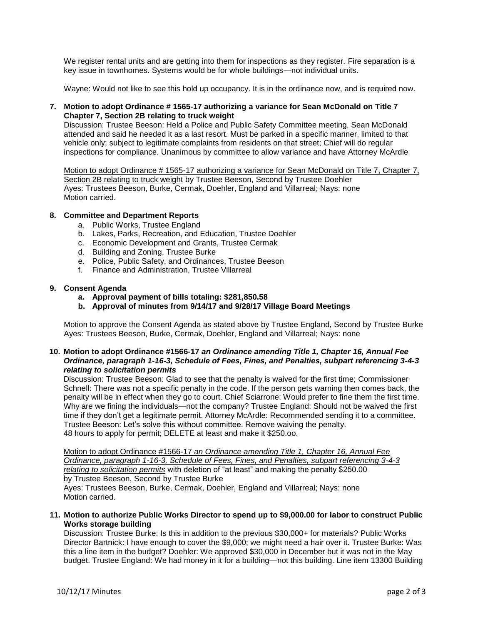We register rental units and are getting into them for inspections as they register. Fire separation is a key issue in townhomes. Systems would be for whole buildings—not individual units.

Wayne: Would not like to see this hold up occupancy. It is in the ordinance now, and is required now.

### **7. Motion to adopt Ordinance # 1565-17 authorizing a variance for Sean McDonald on Title 7 Chapter 7, Section 2B relating to truck weight**

Discussion: Trustee Beeson: Held a Police and Public Safety Committee meeting. Sean McDonald attended and said he needed it as a last resort. Must be parked in a specific manner, limited to that vehicle only; subject to legitimate complaints from residents on that street; Chief will do regular inspections for compliance. Unanimous by committee to allow variance and have Attorney McArdle

Motion to adopt Ordinance # 1565-17 authorizing a variance for Sean McDonald on Title 7, Chapter 7, Section 2B relating to truck weight by Trustee Beeson, Second by Trustee Doehler Ayes: Trustees Beeson, Burke, Cermak, Doehler, England and Villarreal; Nays: none Motion carried.

### **8. Committee and Department Reports**

- a. Public Works, Trustee England
- b. Lakes, Parks, Recreation, and Education, Trustee Doehler
- c. Economic Development and Grants, Trustee Cermak
- d. Building and Zoning, Trustee Burke
- e. Police, Public Safety, and Ordinances, Trustee Beeson
- f. Finance and Administration, Trustee Villarreal

### **9. Consent Agenda**

- **a. Approval payment of bills totaling: \$281,850.58**
- **b. Approval of minutes from 9/14/17 and 9/28/17 Village Board Meetings**

Motion to approve the Consent Agenda as stated above by Trustee England, Second by Trustee Burke Ayes: Trustees Beeson, Burke, Cermak, Doehler, England and Villarreal; Nays: none

### **10. Motion to adopt Ordinance #1566-17** *an Ordinance amending Title 1, Chapter 16, Annual Fee Ordinance, paragraph 1-16-3, Schedule of Fees, Fines, and Penalties, subpart referencing 3-4-3 relating to solicitation permits*

Discussion: Trustee Beeson: Glad to see that the penalty is waived for the first time; Commissioner Schnell: There was not a specific penalty in the code. If the person gets warning then comes back, the penalty will be in effect when they go to court. Chief Sciarrone: Would prefer to fine them the first time. Why are we fining the individuals—not the company? Trustee England: Should not be waived the first time if they don't get a legitimate permit. Attorney McArdle: Recommended sending it to a committee. Trustee Beeson: Let's solve this without committee. Remove waiving the penalty. 48 hours to apply for permit; DELETE at least and make it \$250.oo.

Motion to adopt Ordinance #1566-17 *an Ordinance amending Title 1, Chapter 16, Annual Fee Ordinance, paragraph 1-16-3, Schedule of Fees, Fines, and Penalties, subpart referencing 3-4-3 relating to solicitation permits* with deletion of "at least" and making the penalty \$250.00 by Trustee Beeson, Second by Trustee Burke Ayes: Trustees Beeson, Burke, Cermak, Doehler, England and Villarreal; Nays: none Motion carried.

#### **11. Motion to authorize Public Works Director to spend up to \$9,000.00 for labor to construct Public Works storage building**

Discussion: Trustee Burke: Is this in addition to the previous \$30,000+ for materials? Public Works Director Bartnick: I have enough to cover the \$9,000; we might need a hair over it. Trustee Burke: Was this a line item in the budget? Doehler: We approved \$30,000 in December but it was not in the May budget. Trustee England: We had money in it for a building—not this building. Line item 13300 Building